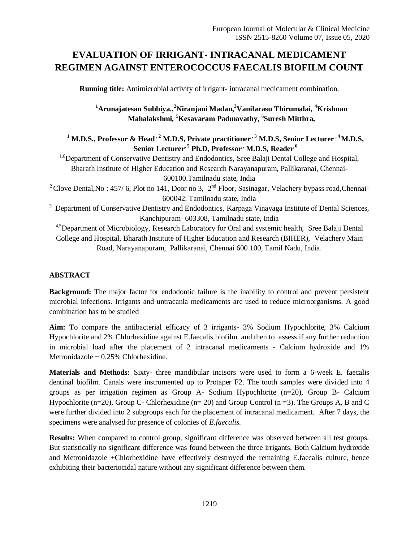# **EVALUATION OF IRRIGANT- INTRACANAL MEDICAMENT REGIMEN AGAINST ENTEROCOCCUS FAECALIS BIOFILM COUNT**

**Running title:** Antimicrobial activity of irrigant- intracanal medicament combination.

## **<sup>1</sup>Arunajatesan Subbiya.,<sup>2</sup>Niranjani Madan,<sup>3</sup>Vanilarasu Thirumalai, <sup>4</sup>Krishnan Mahalakshmi,** <sup>5</sup>**Kesavaram Padmavathy**, <sup>6</sup>**Suresh Mitthra,**

 $1$  **M.D.S., Professor & Head**  $\cdot$  <sup>2</sup> **M.D.S, Private practitioner**  $\cdot$  <sup>3</sup> **M.D.S, Senior Lecturer**  $\cdot$  <sup>4</sup> **M.D.S, Senior Lecturer<sup>, 5</sup> Ph.D, Professor** , **M.D.S, Reader** <sup>6</sup>

<sup>1,6</sup>Department of Conservative Dentistry and Endodontics, Sree Balaji Dental College and Hospital, Bharath Institute of Higher Education and Research Narayanapuram, Pallikaranai, Chennai-600100.Tamilnadu state, India

<sup>2</sup> Clove Dental, No: 457/6, Plot no 141, Door no 3,  $2<sup>nd</sup>$  Floor, Sasinagar, Velachery bypass road, Chennai-600042. Tamilnadu state, India

<sup>3</sup> Department of Conservative Dentistry and Endodontics, Karpaga Vinayaga Institute of Dental Sciences, Kanchipuram- 603308, Tamilnadu state, India

4,5Department of Microbiology, Research Laboratory for Oral and systemic health, Sree Balaji Dental College and Hospital, Bharath Institute of Higher Education and Research (BIHER), Velachery Main Road, Narayanapuram, Pallikaranai, Chennai 600 100, Tamil Nadu, India.

## **ABSTRACT**

**Background:** The major factor for endodontic failure is the inability to control and prevent persistent microbial infections. Irrigants and untracanla medicaments are used to reduce microorganisms. A good combination has to be studied

**Aim:** To compare the antibacterial efficacy of 3 irrigants- 3% Sodium Hypochlorite, 3% Calcium Hypochlorite and 2% Chlorhexidine against E.faecalis biofilm and then to assess if any further reduction in microbial load after the placement of 2 intracanal medicaments - Calcium hydroxide and 1% Metronidazole + 0.25% Chlorhexidine.

**Materials and Methods:** Sixty- three mandibular incisors were used to form a 6-week E. faecalis dentinal biofilm. Canals were instrumented up to Protaper F2. The tooth samples were divided into 4 groups as per irrigation regimen as Group A- Sodium Hypochlorite (n=20), Group B- Calcium Hypochlorite (n=20), Group C- Chlorhexidine (n= 20) and Group Control (n =3). The Groups A, B and C were further divided into 2 subgroups each for the placement of intracanal medicament. After 7 days, the specimens were analysed for presence of colonies of *E.faecalis.*

**Results:** When compared to control group, significant difference was observed between all test groups. But statistically no significant difference was found between the three irrigants. Both Calcium hydroxide and Metronidazole +Chlorhexidine have effectively destroyed the remaining E.faecalis culture, hence exhibiting their bacteriocidal nature without any significant difference between them.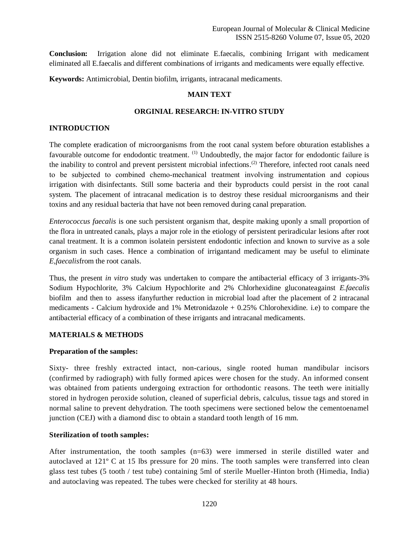**Conclusion:** Irrigation alone did not eliminate E.faecalis, combining Irrigant with medicament eliminated all E.faecalis and different combinations of irrigants and medicaments were equally effective.

**Keywords:** Antimicrobial, Dentin biofilm, irrigants, intracanal medicaments.

#### **MAIN TEXT**

#### **ORGINIAL RESEARCH: IN-VITRO STUDY**

#### **INTRODUCTION**

The complete eradication of microorganisms from the root canal system before obturation establishes a favourable outcome for endodontic treatment. <sup>(1)</sup> Undoubtedly, the major factor for endodontic failure is the inability to control and prevent persistent microbial infections.<sup>(2)</sup> Therefore, infected root canals need to be subjected to combined chemo‑mechanical treatment involving instrumentation and copious irrigation with disinfectants. Still some bacteria and their byproducts could persist in the root canal system. The placement of intracanal medication is to destroy these residual microorganisms and their toxins and any residual bacteria that have not been removed during canal preparation.

*Enterococcus faecalis* is one such persistent organism that, despite making uponly a small proportion of the flora in untreated canals, plays a major role in the etiology of persistent periradicular lesions after root canal treatment. It is a common isolatein persistent endodontic infection and known to survive as a sole organism in such cases. Hence a combination of irrigantand medicament may be useful to eliminate *E,faecalis*from the root canals.

Thus, the present *in vitro* study was undertaken to compare the antibacterial efficacy of 3 irrigants-3% Sodium Hypochlorite, 3% Calcium Hypochlorite and 2% Chlorhexidine gluconateagainst *E.faecalis*  biofilm and then to assess ifanyfurther reduction in microbial load after the placement of 2 intracanal medicaments - Calcium hydroxide and 1% Metronidazole + 0.25% Chlorohexidine. i.e) to compare the antibacterial efficacy of a combination of these irrigants and intracanal medicaments.

#### **MATERIALS & METHODS**

#### **Preparation of the samples:**

Sixty- three freshly extracted intact, non-carious, single rooted human mandibular incisors (confirmed by radiograph) with fully formed apices were chosen for the study. An informed consent was obtained from patients undergoing extraction for orthodontic reasons. The teeth were initially stored in hydrogen peroxide solution, cleaned of superficial debris, calculus, tissue tags and stored in normal saline to prevent dehydration. The tooth specimens were sectioned below the cementoenamel junction (CEJ) with a diamond disc to obtain a standard tooth length of 16 mm.

#### **Sterilization of tooth samples:**

After instrumentation, the tooth samples (n=63) were immersed in sterile distilled water and autoclaved at 121º C at 15 lbs pressure for 20 mins. The tooth samples were transferred into clean glass test tubes (5 tooth / test tube) containing 5ml of sterile Mueller-Hinton broth (Himedia, India) and autoclaving was repeated. The tubes were checked for sterility at 48 hours.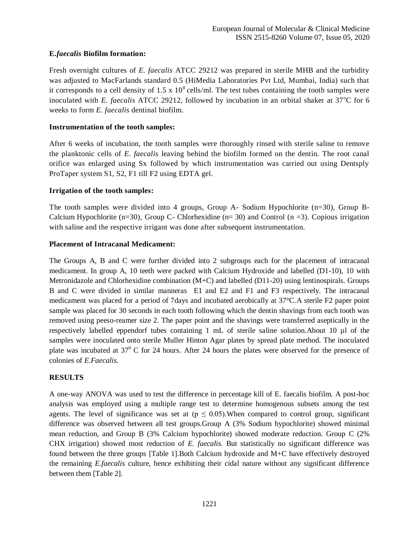## **E.***faecalis* **Biofilm formation:**

Fresh overnight cultures of *E. faecalis* ATCC 29212 was prepared in sterile MHB and the turbidity was adjusted to MacFarlands standard 0.5 (HiMedia Laboratories Pvt Ltd, Mumbai, India) such that it corresponds to a cell density of  $1.5 \times 10^8$  cells/ml. The test tubes containing the tooth samples were inoculated with *E. faecalis* ATCC 29212, followed by incubation in an orbital shaker at 37°C for 6 weeks to form *E. faecalis* dentinal biofilm.

## **Instrumentation of the tooth samples:**

After 6 weeks of incubation, the tooth samples were thoroughly rinsed with sterile saline to remove the planktonic cells of *E. faecalis* leaving behind the biofilm formed on the dentin. The root canal orifice was enlarged using Sx followed by which instrumentation was carried out using Dentsply ProTaper system S1, S2, F1 till F2 using EDTA gel.

## **Irrigation of the tooth samples:**

The tooth samples were divided into 4 groups, Group A- Sodium Hypochlorite (n=30), Group B-Calcium Hypochlorite (n=30), Group C- Chlorhexidine (n= 30) and Control (n =3). Copious irrigation with saline and the respective irrigant was done after subsequent instrumentation.

## **Placement of Intracanal Medicament:**

The Groups A, B and C were further divided into 2 subgroups each for the placement of intracanal medicament. In group A, 10 teeth were packed with Calcium Hydroxide and labelled (D1-10), 10 with Metronidazole and Chlorhexidine combination (M+C) and labelled (D11-20) using lentinospirals. Groups B and C were divided in similar manneras E1 and E2 and F1 and F3 respectively. The intracanal medicament was placed for a period of 7days and incubated aerobically at 37°C.A sterile F2 paper point sample was placed for 30 seconds in each tooth following which the dentin shavings from each tooth was removed using peeso-reamer size 2. The paper point and the shavings were transferred aseptically in the respectively labelled eppendorf tubes containing 1 mL of sterile saline solution.About 10 µl of the samples were inoculated onto sterile Muller Hinton Agar plates by spread plate method. The inoculated plate was incubated at  $37^{\circ}$  C for 24 hours. After 24 hours the plates were observed for the presence of colonies of *E.Faecalis.*

## **RESULTS**

A one-way ANOVA was used to test the difference in percentage kill of E. faecalis biofilm. A post-hoc analysis was employed using a multiple range test to determine homogenous subsets among the test agents. The level of significance was set at ( $p \le 0.05$ ). When compared to control group, significant difference was observed between all test groups.Group A (3% Sodium hypochlorite) showed minimal mean reduction, and Group B (3% Calcium hypochlorite) showed moderate reduction. Group C (2% CHX irrigation) showed most reduction of *E. faecalis.* But statistically no significant difference was found between the three groups [Table 1].Both Calcium hydroxide and M+C have effectively destroyed the remaining *E.faecalis* culture, hence exhibiting their cidal nature without any significant difference between them [Table 2].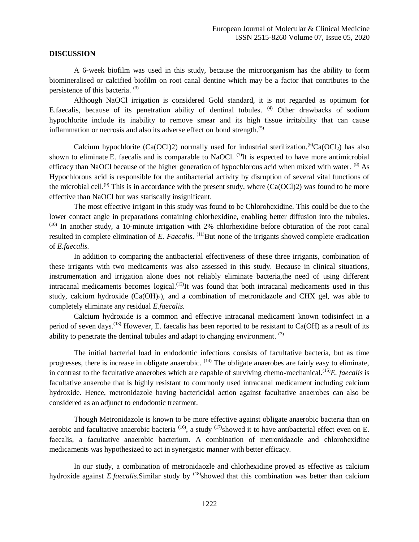#### **DISCUSSION**

A 6-week biofilm was used in this study, because the microorganism has the ability to form biomineralised or calcified biofilm on root canal dentine which may be a factor that contributes to the persistence of this bacteria. (3)

Although NaOCl irrigation is considered Gold standard, it is not regarded as optimum for E.faecalis, because of its penetration ability of dentinal tubules. <sup>(4)</sup> Other drawbacks of sodium hypochlorite include its inability to remove smear and its high tissue irritability that can cause inflammation or necrosis and also its adverse effect on bond strength.<sup>(5)</sup>

Calcium hypochlorite (Ca(OCl)2) normally used for industrial sterilization.<sup>(6)</sup>Ca(OCl<sub>2</sub>) has also shown to eliminate E. faecalis and is comparable to NaOCl.  $\binom{7}{1}$  is expected to have more antimicrobial efficacy than NaOCl because of the higher generation of hypochlorous acid when mixed with water. <sup>(8)</sup> As Hypochlorous acid is responsible for the antibacterial activity by disruption of several vital functions of the microbial cell.<sup>(9)</sup> This is in accordance with the present study, where  $(Ca(OCl)2)$  was found to be more effective than NaOCl but was statiscally insignificant.

The most effective irrigant in this study was found to be Chlorohexidine. This could be due to the lower contact angle in preparations containing chlorhexidine, enabling better diffusion into the tubules. (10) In another study, a 10-minute irrigation with 2% chlorhexidine before obturation of the root canal resulted in complete elimination of *E. Faecalis.* <sup>(11)</sup>But none of the irrigants showed complete eradication of *E.faecalis.*

In addition to comparing the antibacterial effectiveness of these three irrigants, combination of these irrigants with two medicaments was also assessed in this study. Because in clinical situations, instrumentation and irrigation alone does not reliably eliminate bacteria,the need of using different intracanal medicaments becomes logical.<sup>(12)</sup>It was found that both intracanal medicaments used in this study, calcium hydroxide  $(Ca(OH)_2)$ , and a combination of metronidazole and CHX gel, was able to completely eliminate any residual *E.faecalis.*

Calcium hydroxide is a common and effective intracanal medicament known todisinfect in a period of seven days.<sup>(13)</sup> However, E. faecalis has been reported to be resistant to  $Ca(OH)$  as a result of its ability to penetrate the dentinal tubules and adapt to changing environment.  $^{(3)}$ 

The initial bacterial load in endodontic infections consists of facultative bacteria, but as time progresses, there is increase in obligate anaerobic.  $(14)$  The obligate anaerobes are fairly easy to eliminate, in contrast to the facultative anaerobes which are capable of surviving chemo-mechanical. (15)*E. faecalis* is facultative anaerobe that is highly resistant to commonly used intracanal medicament including calcium hydroxide. Hence, metronidazole having bactericidal action against facultative anaerobes can also be considered as an adjunct to endodontic treatment.

Though Metronidazole is known to be more effective against obligate anaerobic bacteria than on aerobic and facultative anaerobic bacteria <sup>(16)</sup>, a study <sup>(17)</sup>showed it to have antibacterial effect even on E. faecalis, a facultative anaerobic bacterium. A combination of metronidazole and chlorohexidine medicaments was hypothesized to act in synergistic manner with better efficacy.

In our study, a combination of metronidaozle and chlorhexidine proved as effective as calcium hydroxide against *E.faecalis.*Similar study by <sup>(18)</sup>showed that this combination was better than calcium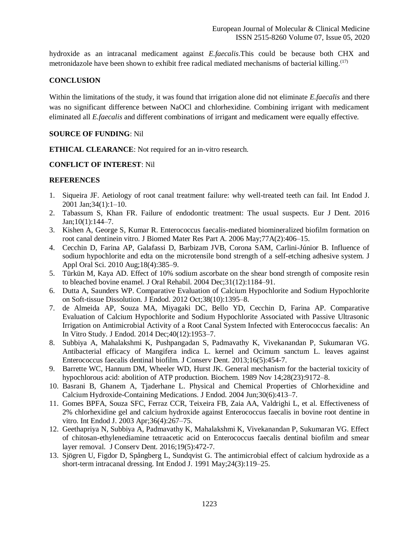hydroxide as an intracanal medicament against *E.faecalis*.This could be because both CHX and metronidazole have been shown to exhibit free radical mediated mechanisms of bacterial killing.<sup>(17)</sup>

## **CONCLUSION**

Within the limitations of the study, it was found that irrigation alone did not eliminate *E.faecalis* and there was no significant difference between NaOCl and chlorhexidine. Combining irrigant with medicament eliminated all *E.faecalis* and different combinations of irrigant and medicament were equally effective.

#### **SOURCE OF FUNDING**: Nil

**ETHICAL CLEARANCE**: Not required for an in-vitro research.

### **CONFLICT OF INTEREST**: Nil

## **REFERENCES**

- 1. Siqueira JF. Aetiology of root canal treatment failure: why well-treated teeth can fail. Int Endod J. 2001 Jan;34(1):1–10.
- 2. Tabassum S, Khan FR. Failure of endodontic treatment: The usual suspects. Eur J Dent. 2016 Jan;10(1):144–7.
- 3. Kishen A, George S, Kumar R. Enterococcus faecalis-mediated biomineralized biofilm formation on root canal dentinein vitro. J Biomed Mater Res Part A. 2006 May;77A(2):406–15.
- 4. Cecchin D, Farina AP, Galafassi D, Barbizam JVB, Corona SAM, Carlini-Júnior B. Influence of sodium hypochlorite and edta on the microtensile bond strength of a self-etching adhesive system. J Appl Oral Sci. 2010 Aug;18(4):385–9.
- 5. Türkün M, Kaya AD. Effect of 10% sodium ascorbate on the shear bond strength of composite resin to bleached bovine enamel. J Oral Rehabil. 2004 Dec;31(12):1184–91.
- 6. Dutta A, Saunders WP. Comparative Evaluation of Calcium Hypochlorite and Sodium Hypochlorite on Soft-tissue Dissolution. J Endod. 2012 Oct;38(10):1395–8.
- 7. de Almeida AP, Souza MA, Miyagaki DC, Bello YD, Cecchin D, Farina AP. Comparative Evaluation of Calcium Hypochlorite and Sodium Hypochlorite Associated with Passive Ultrasonic Irrigation on Antimicrobial Activity of a Root Canal System Infected with Enterococcus faecalis: An In Vitro Study. J Endod. 2014 Dec;40(12):1953–7.
- 8. Subbiya A, Mahalakshmi K, Pushpangadan S, Padmavathy K, Vivekanandan P, Sukumaran VG. Antibacterial efficacy of Mangifera indica L. kernel and Ocimum sanctum L. leaves against Enterococcus faecalis dentinal biofilm. J Conserv Dent. 2013;16(5):454-7.
- 9. Barrette WC, Hannum DM, Wheeler WD, Hurst JK. General mechanism for the bacterial toxicity of hypochlorous acid: abolition of ATP production. Biochem. 1989 Nov 14;28(23):9172–8.
- 10. Basrani B, Ghanem A, Tjaderhane L. Physical and Chemical Properties of Chlorhexidine and Calcium Hydroxide-Containing Medications. J Endod. 2004 Jun;30(6):413–7.
- 11. Gomes BPFA, Souza SFC, Ferraz CCR, Teixeira FB, Zaia AA, Valdrighi L, et al. Effectiveness of 2% chlorhexidine gel and calcium hydroxide against Enterococcus faecalis in bovine root dentine in vitro. Int Endod J. 2003 Apr;36(4):267–75.
- 12. Geethapriya N, Subbiya A, Padmavathy K, Mahalakshmi K, Vivekanandan P, Sukumaran VG. Effect of chitosan-ethylenediamine tetraacetic acid on Enterococcus faecalis dentinal biofilm and smear layer removal. J Conserv Dent. 2016;19(5):472-7.
- 13. Sjögren U, Figdor D, Spångberg L, Sundqvist G. The antimicrobial effect of calcium hydroxide as a short-term intracanal dressing. Int Endod J. 1991 May;24(3):119–25.